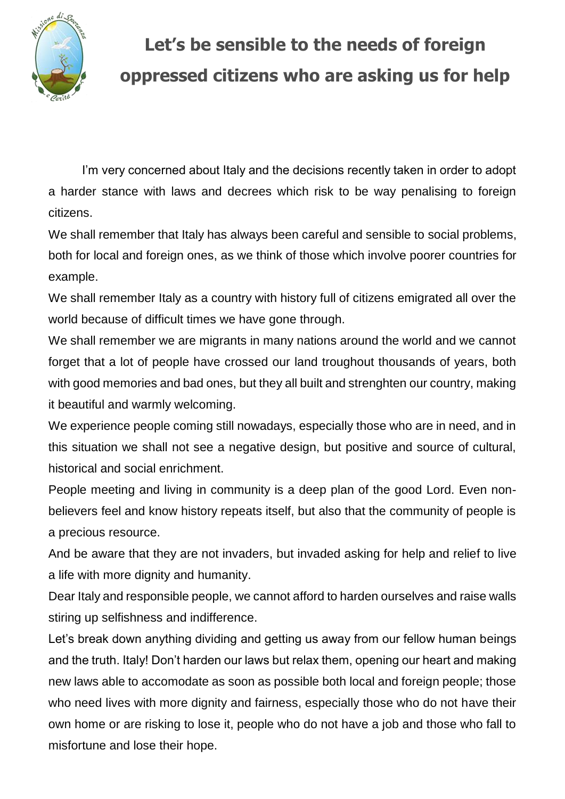

## **Let's be sensible to the needs of foreign oppressed citizens who are asking us for help**

I'm very concerned about Italy and the decisions recently taken in order to adopt a harder stance with laws and decrees which risk to be way penalising to foreign citizens.

We shall remember that Italy has always been careful and sensible to social problems, both for local and foreign ones, as we think of those which involve poorer countries for example.

We shall remember Italy as a country with history full of citizens emigrated all over the world because of difficult times we have gone through.

We shall remember we are migrants in many nations around the world and we cannot forget that a lot of people have crossed our land troughout thousands of years, both with good memories and bad ones, but they all built and strenghten our country, making it beautiful and warmly welcoming.

We experience people coming still nowadays, especially those who are in need, and in this situation we shall not see a negative design, but positive and source of cultural, historical and social enrichment.

People meeting and living in community is a deep plan of the good Lord. Even nonbelievers feel and know history repeats itself, but also that the community of people is a precious resource.

And be aware that they are not invaders, but invaded asking for help and relief to live a life with more dignity and humanity.

Dear Italy and responsible people, we cannot afford to harden ourselves and raise walls stiring up selfishness and indifference.

Let's break down anything dividing and getting us away from our fellow human beings and the truth. Italy! Don't harden our laws but relax them, opening our heart and making new laws able to accomodate as soon as possible both local and foreign people; those who need lives with more dignity and fairness, especially those who do not have their own home or are risking to lose it, people who do not have a job and those who fall to misfortune and lose their hope.